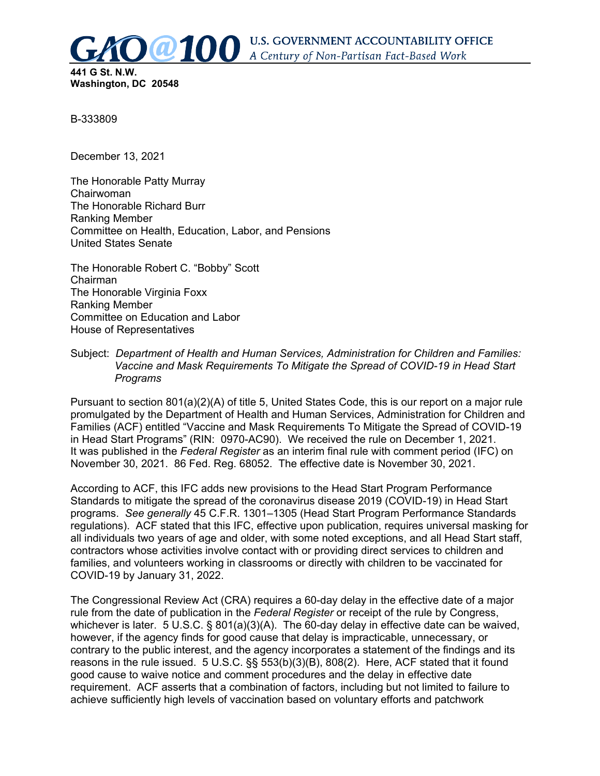

**U.S. GOVERNMENT ACCOUNTABILITY OFFICE** A Century of Non-Partisan Fact-Based Work

**Washington, DC 20548**

B-333809

December 13, 2021

The Honorable Patty Murray Chairwoman The Honorable Richard Burr Ranking Member Committee on Health, Education, Labor, and Pensions United States Senate

The Honorable Robert C. "Bobby" Scott Chairman The Honorable Virginia Foxx Ranking Member Committee on Education and Labor House of Representatives

Subject: *Department of Health and Human Services, Administration for Children and Families: Vaccine and Mask Requirements To Mitigate the Spread of COVID-19 in Head Start Programs*

Pursuant to section 801(a)(2)(A) of title 5, United States Code, this is our report on a major rule promulgated by the Department of Health and Human Services, Administration for Children and Families (ACF) entitled "Vaccine and Mask Requirements To Mitigate the Spread of COVID-19 in Head Start Programs" (RIN: 0970-AC90). We received the rule on December 1, 2021. It was published in the *Federal Register* as an interim final rule with comment period (IFC) on November 30, 2021. 86 Fed. Reg. 68052. The effective date is November 30, 2021.

According to ACF, this IFC adds new provisions to the Head Start Program Performance Standards to mitigate the spread of the coronavirus disease 2019 (COVID-19) in Head Start programs. *See generally* 45 C.F.R. 1301–1305 (Head Start Program Performance Standards regulations). ACF stated that this IFC, effective upon publication, requires universal masking for all individuals two years of age and older, with some noted exceptions, and all Head Start staff, contractors whose activities involve contact with or providing direct services to children and families, and volunteers working in classrooms or directly with children to be vaccinated for COVID-19 by January 31, 2022.

The Congressional Review Act (CRA) requires a 60-day delay in the effective date of a major rule from the date of publication in the *Federal Register* or receipt of the rule by Congress, whichever is later. 5 U.S.C. § 801(a)(3)(A). The 60-day delay in effective date can be waived, however, if the agency finds for good cause that delay is impracticable, unnecessary, or contrary to the public interest, and the agency incorporates a statement of the findings and its reasons in the rule issued. 5 U.S.C. §§ 553(b)(3)(B), 808(2). Here, ACF stated that it found good cause to waive notice and comment procedures and the delay in effective date requirement. ACF asserts that a combination of factors, including but not limited to failure to achieve sufficiently high levels of vaccination based on voluntary efforts and patchwork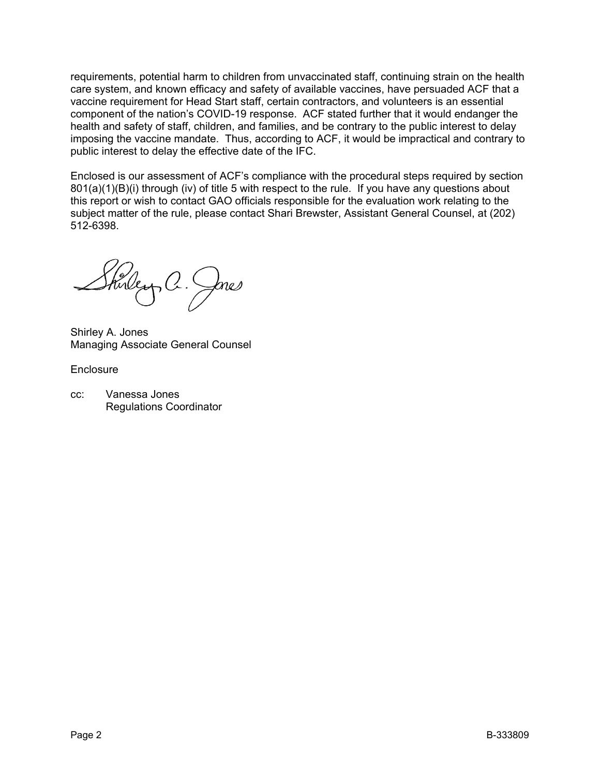requirements, potential harm to children from unvaccinated staff, continuing strain on the health care system, and known efficacy and safety of available vaccines, have persuaded ACF that a vaccine requirement for Head Start staff, certain contractors, and volunteers is an essential component of the nation's COVID-19 response. ACF stated further that it would endanger the health and safety of staff, children, and families, and be contrary to the public interest to delay imposing the vaccine mandate. Thus, according to ACF, it would be impractical and contrary to public interest to delay the effective date of the IFC.

Enclosed is our assessment of ACF's compliance with the procedural steps required by section 801(a)(1)(B)(i) through (iv) of title 5 with respect to the rule. If you have any questions about this report or wish to contact GAO officials responsible for the evaluation work relating to the subject matter of the rule, please contact Shari Brewster, Assistant General Counsel, at (202) 512-6398.

Shirley, C. Jnes

Shirley A. Jones Managing Associate General Counsel

**Enclosure** 

cc: Vanessa Jones Regulations Coordinator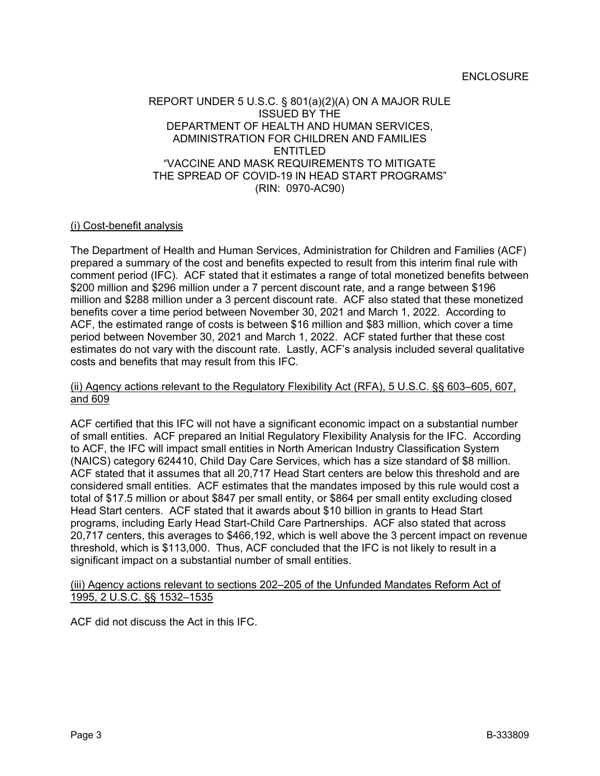#### ENCLOSURE

# REPORT UNDER 5 U.S.C. § 801(a)(2)(A) ON A MAJOR RULE ISSUED BY THE DEPARTMENT OF HEALTH AND HUMAN SERVICES, ADMINISTRATION FOR CHILDREN AND FAMILIES ENTITLED "VACCINE AND MASK REQUIREMENTS TO MITIGATE THE SPREAD OF COVID-19 IN HEAD START PROGRAMS" (RIN: 0970-AC90)

# (i) Cost-benefit analysis

The Department of Health and Human Services, Administration for Children and Families (ACF) prepared a summary of the cost and benefits expected to result from this interim final rule with comment period (IFC). ACF stated that it estimates a range of total monetized benefits between \$200 million and \$296 million under a 7 percent discount rate, and a range between \$196 million and \$288 million under a 3 percent discount rate. ACF also stated that these monetized benefits cover a time period between November 30, 2021 and March 1, 2022. According to ACF, the estimated range of costs is between \$16 million and \$83 million, which cover a time period between November 30, 2021 and March 1, 2022. ACF stated further that these cost estimates do not vary with the discount rate. Lastly, ACF's analysis included several qualitative costs and benefits that may result from this IFC.

# (ii) Agency actions relevant to the Regulatory Flexibility Act (RFA), 5 U.S.C. §§ 603–605, 607, and 609

ACF certified that this IFC will not have a significant economic impact on a substantial number of small entities. ACF prepared an Initial Regulatory Flexibility Analysis for the IFC. According to ACF, the IFC will impact small entities in North American Industry Classification System (NAICS) category 624410, Child Day Care Services, which has a size standard of \$8 million. ACF stated that it assumes that all 20,717 Head Start centers are below this threshold and are considered small entities. ACF estimates that the mandates imposed by this rule would cost a total of \$17.5 million or about \$847 per small entity, or \$864 per small entity excluding closed Head Start centers. ACF stated that it awards about \$10 billion in grants to Head Start programs, including Early Head Start-Child Care Partnerships. ACF also stated that across 20,717 centers, this averages to \$466,192, which is well above the 3 percent impact on revenue threshold, which is \$113,000. Thus, ACF concluded that the IFC is not likely to result in a significant impact on a substantial number of small entities.

#### (iii) Agency actions relevant to sections 202-205 of the Unfunded Mandates Reform Act of 1995, 2 U.S.C. §§ 1532–1535

ACF did not discuss the Act in this IFC.